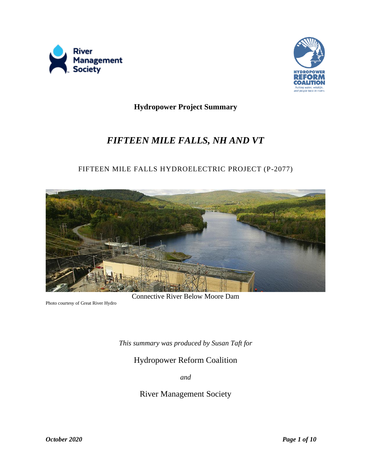



**Hydropower Project Summary**

# *FIFTEEN MILE FALLS, NH AND VT*

# FIFTEEN MILE FALLS HYDROELECTRIC PROJECT (P-2077)



Photo courtesy of Great River Hydro

*This summary was produced by Susan Taft for* 

Hydropower Reform Coalition

*and*

River Management Society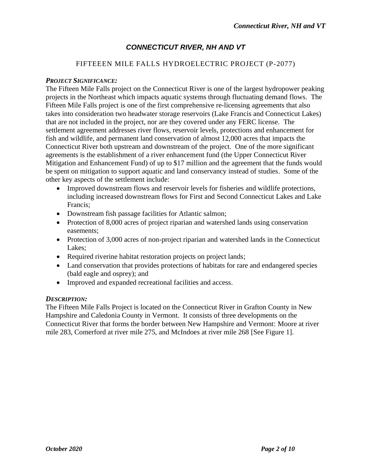# *CONNECTICUT RIVER, NH AND VT*

### FIFTEEEN MILE FALLS HYDROELECTRIC PROJECT (P-2077)

#### *PROJECT SIGNIFICANCE:*

The Fifteen Mile Falls project on the Connecticut River is one of the largest hydropower peaking projects in the Northeast which impacts aquatic systems through fluctuating demand flows. The Fifteen Mile Falls project is one of the first comprehensive re-licensing agreements that also takes into consideration two headwater storage reservoirs (Lake Francis and Connecticut Lakes) that are not included in the project, nor are they covered under any FERC license. The settlement agreement addresses river flows, reservoir levels, protections and enhancement for fish and wildlife, and permanent land conservation of almost 12,000 acres that impacts the Connecticut River both upstream and downstream of the project. One of the more significant agreements is the establishment of a river enhancement fund (the Upper Connecticut River Mitigation and Enhancement Fund) of up to \$17 million and the agreement that the funds would be spent on mitigation to support aquatic and land conservancy instead of studies. Some of the other key aspects of the settlement include:

- Improved downstream flows and reservoir levels for fisheries and wildlife protections, including increased downstream flows for First and Second Connecticut Lakes and Lake Francis;
- Downstream fish passage facilities for Atlantic salmon;
- Protection of 8,000 acres of project riparian and watershed lands using conservation easements;
- Protection of 3,000 acres of non-project riparian and watershed lands in the Connecticut Lakes;
- Required riverine habitat restoration projects on project lands;
- Land conservation that provides protections of habitats for rare and endangered species (bald eagle and osprey); and
- Improved and expanded recreational facilities and access.

#### *DESCRIPTION:*

The Fifteen Mile Falls Project is located on the Connecticut River in Grafton County in New Hampshire and Caledonia County in Vermont. It consists of three developments on the Connecticut River that forms the border between New Hampshire and Vermont: Moore at river mile 283, Comerford at river mile 275, and McIndoes at river mile 268 [See Figure 1].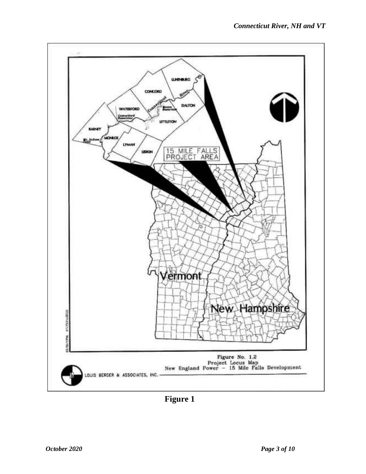

**Figure 1**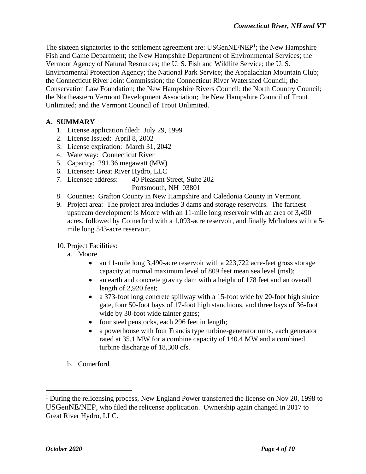The sixteen signatories to the settlement agreement are: USGenNE/NEP<sup>1</sup>; the New Hampshire Fish and Game Department; the New Hampshire Department of Environmental Services; the Vermont Agency of Natural Resources; the U. S. Fish and Wildlife Service; the U. S. Environmental Protection Agency; the National Park Service; the Appalachian Mountain Club; the Connecticut River Joint Commission; the Connecticut River Watershed Council; the Conservation Law Foundation; the New Hampshire Rivers Council; the North Country Council; the Northeastern Vermont Development Association; the New Hampshire Council of Trout Unlimited; and the Vermont Council of Trout Unlimited.

# **A. SUMMARY**

- 1. License application filed: July 29, 1999
- 2. License Issued: April 8, 2002
- 3. License expiration: March 31, 2042
- 4. Waterway: Connecticut River
- 5. Capacity: 291.36 megawatt (MW)
- 6. Licensee: Great River Hydro, LLC
- 7. Licensee address: 40 Pleasant Street, Suite 202

Portsmouth, NH 03801

- 8. Counties: Grafton County in New Hampshire and Caledonia County in Vermont.
- 9. Project area: The project area includes 3 dams and storage reservoirs. The farthest upstream development is Moore with an 11-mile long reservoir with an area of 3,490 acres, followed by Comerford with a 1,093-acre reservoir, and finally McIndoes with a 5 mile long 543-acre reservoir.

#### 10. Project Facilities:

- a. Moore
	- an 11-mile long 3,490-acre reservoir with a 223,722 acre-feet gross storage capacity at normal maximum level of 809 feet mean sea level (msl);
	- an earth and concrete gravity dam with a height of 178 feet and an overall length of 2,920 feet;
	- a 373-foot long concrete spillway with a 15-foot wide by 20-foot high sluice gate, four 50-foot bays of 17-foot high stanchions, and three bays of 36-foot wide by 30-foot wide tainter gates;
	- four steel penstocks, each 296 feet in length;
	- a powerhouse with four Francis type turbine-generator units, each generator rated at 35.1 MW for a combine capacity of 140.4 MW and a combined turbine discharge of 18,300 cfs.
- b. Comerford

<sup>&</sup>lt;sup>1</sup> During the relicensing process, New England Power transferred the license on Nov 20, 1998 to USGenNE/NEP, who filed the relicense application. Ownership again changed in 2017 to Great River Hydro, LLC.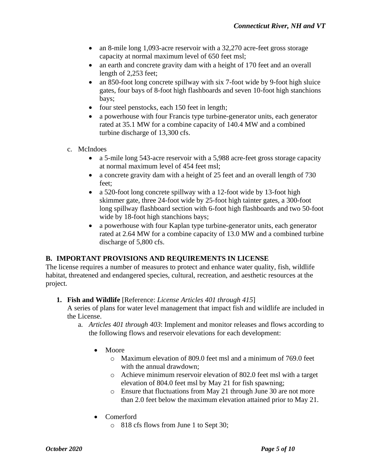- an 8-mile long 1,093-acre reservoir with a 32,270 acre-feet gross storage capacity at normal maximum level of 650 feet msl;
- an earth and concrete gravity dam with a height of 170 feet and an overall length of 2,253 feet;
- an 850-foot long concrete spillway with six 7-foot wide by 9-foot high sluice gates, four bays of 8-foot high flashboards and seven 10-foot high stanchions bays;
- four steel penstocks, each 150 feet in length;
- a powerhouse with four Francis type turbine-generator units, each generator rated at 35.1 MW for a combine capacity of 140.4 MW and a combined turbine discharge of 13,300 cfs.
- c. McIndoes
	- a 5-mile long 543-acre reservoir with a 5,988 acre-feet gross storage capacity at normal maximum level of 454 feet msl;
	- a concrete gravity dam with a height of 25 feet and an overall length of 730 feet;
	- a 520-foot long concrete spillway with a 12-foot wide by 13-foot high skimmer gate, three 24-foot wide by 25-foot high tainter gates, a 300-foot long spillway flashboard section with 6-foot high flashboards and two 50-foot wide by 18-foot high stanchions bays;
	- a powerhouse with four Kaplan type turbine-generator units, each generator rated at 2.64 MW for a combine capacity of 13.0 MW and a combined turbine discharge of 5,800 cfs.

# **B. IMPORTANT PROVISIONS AND REQUIREMENTS IN LICENSE**

The license requires a number of measures to protect and enhance water quality, fish, wildlife habitat, threatened and endangered species, cultural, recreation, and aesthetic resources at the project.

#### **1. Fish and Wildlife** [Reference: *License Articles 401 through 415*]

A series of plans for water level management that impact fish and wildlife are included in the License.

- a. *Articles 401 through 403*: Implement and monitor releases and flows according to the following flows and reservoir elevations for each development:
	- Moore
		- o Maximum elevation of 809.0 feet msl and a minimum of 769.0 feet with the annual drawdown;
		- o Achieve minimum reservoir elevation of 802.0 feet msl with a target elevation of 804.0 feet msl by May 21 for fish spawning;
		- o Ensure that fluctuations from May 21 through June 30 are not more than 2.0 feet below the maximum elevation attained prior to May 21.
	- Comerford
		- o 818 cfs flows from June 1 to Sept 30;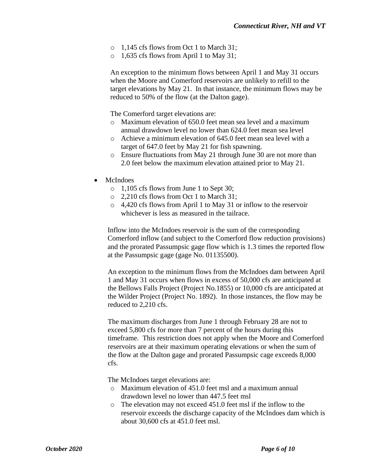- o 1,145 cfs flows from Oct 1 to March 31;
- o 1,635 cfs flows from April 1 to May 31;

An exception to the minimum flows between April 1 and May 31 occurs when the Moore and Comerford reservoirs are unlikely to refill to the target elevations by May 21. In that instance, the minimum flows may be reduced to 50% of the flow (at the Dalton gage).

The Comerford target elevations are:

- o Maximum elevation of 650.0 feet mean sea level and a maximum annual drawdown level no lower than 624.0 feet mean sea level
- o Achieve a minimum elevation of 645.0 feet mean sea level with a target of 647.0 feet by May 21 for fish spawning.
- o Ensure fluctuations from May 21 through June 30 are not more than 2.0 feet below the maximum elevation attained prior to May 21.
- **McIndoes** 
	- o 1,105 cfs flows from June 1 to Sept 30;
	- o 2,210 cfs flows from Oct 1 to March 31;
	- o 4,420 cfs flows from April 1 to May 31 or inflow to the reservoir whichever is less as measured in the tailrace.

Inflow into the McIndoes reservoir is the sum of the corresponding Comerford inflow (and subject to the Comerford flow reduction provisions) and the prorated Passumpsic gage flow which is 1.3 times the reported flow at the Passumpsic gage (gage No. 01135500).

An exception to the minimum flows from the McIndoes dam between April 1 and May 31 occurs when flows in excess of 50,000 cfs are anticipated at the Bellows Falls Project (Project No.1855) or 10,000 cfs are anticipated at the Wilder Project (Project No. 1892). In those instances, the flow may be reduced to 2,210 cfs.

The maximum discharges from June 1 through February 28 are not to exceed 5,800 cfs for more than 7 percent of the hours during this timeframe. This restriction does not apply when the Moore and Comerford reservoirs are at their maximum operating elevations or when the sum of the flow at the Dalton gage and prorated Passumpsic cage exceeds 8,000 cfs.

The McIndoes target elevations are:

- o Maximum elevation of 451.0 feet msl and a maximum annual drawdown level no lower than 447.5 feet msl
- o The elevation may not exceed 451.0 feet msl if the inflow to the reservoir exceeds the discharge capacity of the McIndoes dam which is about 30,600 cfs at 451.0 feet msl.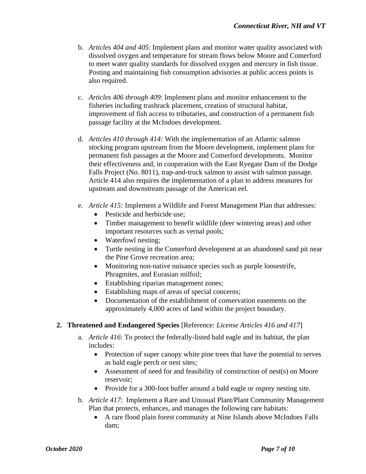- b. *Articles 404 and 405*: Implement plans and monitor water quality associated with dissolved oxygen and temperature for stream flows below Moore and Comerford to meet water quality standards for dissolved oxygen and mercury in fish tissue. Posting and maintaining fish consumption advisories at public access points is also required.
- c. *Articles 406 through 409*: Implement plans and monitor enhancement to the fisheries including trashrack placement, creation of structural habitat, improvement of fish access to tributaries, and construction of a permanent fish passage facility at the McIndoes development.
- d. *Articles 410 through 414:* With the implementation of an Atlantic salmon stocking program upstream from the Moore development, implement plans for permanent fish passages at the Moore and Comerford developments. Monitor their effectiveness and, in cooperation with the East Ryegate Dam of the Dodge Falls Project (No. 8011), trap-and-truck salmon to assist with salmon passage. Article 414 also requires the implementation of a plan to address measures for upstream and downstream passage of the American eel.
- e. *Article 415:* Implement a Wildlife and Forest Management Plan that addresses:
	- Pesticide and herbicide use:
	- Timber management to benefit wildlife (deer wintering areas) and other important resources such as vernal pools;
	- Waterfowl nesting;
	- Turtle nesting in the Comerford development at an abandoned sand pit near the Pine Grove recreation area;
	- Monitoring non-native nuisance species such as purple loosestrife, Phragmites, and Eurasian milfoil;
	- Establishing riparian management zones;
	- Establishing maps of areas of special concerns;
	- Documentation of the establishment of conservation easements on the approximately 4,000 acres of land within the project boundary.

#### **2. Threatened and Endangered Species** [Reference: *License Articles 416 and 417*]

- a. *Article 416*: To protect the federally-listed bald eagle and its habitat, the plan includes:
	- Protection of super canopy white pine trees that have the potential to serves as bald eagle perch or nest sites;
	- Assessment of need for and feasibility of construction of nest(s) on Moore reservoir;
	- Provide for a 300-foot buffer around a bald eagle or osprey nesting site.
- b. *Article 417*: Implement a Rare and Unusual Plant/Plant Community Management Plan that protects, enhances, and manages the following rare habitats:
	- A rare flood plain forest community at Nine Islands above McIndoes Falls dam;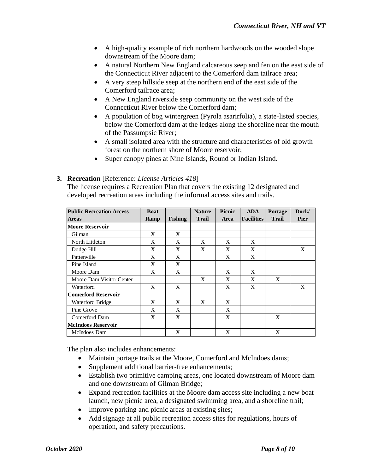- A high-quality example of rich northern hardwoods on the wooded slope downstream of the Moore dam;
- A natural Northern New England calcareous seep and fen on the east side of the Connecticut River adjacent to the Comerford dam tailrace area;
- A very steep hillside seep at the northern end of the east side of the Comerford tailrace area;
- A New England riverside seep community on the west side of the Connecticut River below the Comerford dam;
- A population of bog wintergreen (Pyrola asarirfolia), a state-listed species, below the Comerford dam at the ledges along the shoreline near the mouth of the Passumpsic River;
- A small isolated area with the structure and characteristics of old growth forest on the northern shore of Moore reservoir;
- Super canopy pines at Nine Islands, Round or Indian Island.

### **3. Recreation** [Reference: *License Articles 418*]

The license requires a Recreation Plan that covers the existing 12 designated and developed recreation areas including the informal access sites and trails.

| <b>Public Recreation Access</b> | <b>Boat</b> |                | <b>Nature</b> | Picnic      | <b>ADA</b>        | Portage      | Dock/       |
|---------------------------------|-------------|----------------|---------------|-------------|-------------------|--------------|-------------|
| <b>Areas</b>                    | Ramp        | <b>Fishing</b> | <b>Trail</b>  | <b>Area</b> | <b>Facilities</b> | <b>Trail</b> | <b>Pier</b> |
| <b>Moore Reservoir</b>          |             |                |               |             |                   |              |             |
| Gilman                          | X           | X              |               |             |                   |              |             |
| North Littleton                 | X           | X              | X             | X           | X                 |              |             |
| Dodge Hill                      | X           | X              | X             | X           | X                 |              | X           |
| Pattenville                     | X           | X              |               | X           | X                 |              |             |
| Pine Island                     | X           | X              |               |             |                   |              |             |
| Moore Dam                       | X           | X              |               | X           | X                 |              |             |
| Moore Dam Visitor Center        |             |                | X             | X           | X                 | X            |             |
| Waterford                       | X           | X              |               | X           | X                 |              | X           |
| Comerford Reservoir             |             |                |               |             |                   |              |             |
| Waterford Bridge                | X           | X              | X             | X           |                   |              |             |
| Pine Grove                      | X           | X              |               | X           |                   |              |             |
| Comerford Dam                   | X           | X              |               | X           |                   | X            |             |
| <b>McIndoes Reservoir</b>       |             |                |               |             |                   |              |             |
| McIndoes Dam                    |             | X              |               | X           |                   | X            |             |

The plan also includes enhancements:

- Maintain portage trails at the Moore, Comerford and McIndoes dams;
- Supplement additional barrier-free enhancements;
- Establish two primitive camping areas, one located downstream of Moore dam and one downstream of Gilman Bridge;
- Expand recreation facilities at the Moore dam access site including a new boat launch, new picnic area, a designated swimming area, and a shoreline trail;
- Improve parking and picnic areas at existing sites;
- Add signage at all public recreation access sites for regulations, hours of operation, and safety precautions.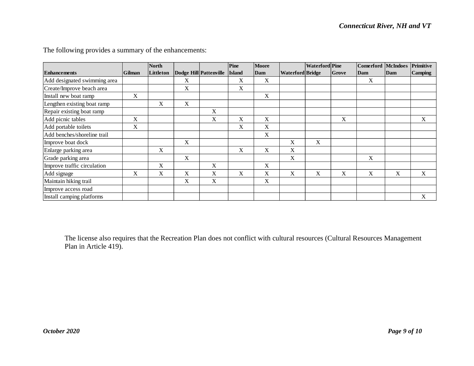|                              |        | <b>North</b> |             |                        | Pine          | <b>Moore</b> |                         | <b>Waterford</b> Pine |       | Comerford McIndoes |     | Primitive      |
|------------------------------|--------|--------------|-------------|------------------------|---------------|--------------|-------------------------|-----------------------|-------|--------------------|-----|----------------|
| <b>Enhancements</b>          | Gilman | Littleton    |             | Dodge Hill Pattenville | <b>Island</b> | Dam          | <b>Waterford Bridge</b> |                       | Grove | Dam                | Dam | <b>Camping</b> |
| Add designated swimming area |        |              | X           |                        | X             | $\mathbf X$  |                         |                       |       | X                  |     |                |
| Create/Improve beach area    |        |              | X           |                        | X             |              |                         |                       |       |                    |     |                |
| Install new boat ramp        | X      |              |             |                        |               | X            |                         |                       |       |                    |     |                |
| Lengthen existing boat ramp  |        | $\mathbf X$  | $\mathbf X$ |                        |               |              |                         |                       |       |                    |     |                |
| Repair existing boat ramp    |        |              |             | X                      |               |              |                         |                       |       |                    |     |                |
| Add picnic tables            | X      |              |             | X                      | $\mathbf X$   | X            |                         |                       | X     |                    |     | X              |
| Add portable toilets         | X      |              |             |                        | X             | X            |                         |                       |       |                    |     |                |
| Add benches/shoreline trail  |        |              |             |                        |               | X            |                         |                       |       |                    |     |                |
| Improve boat dock            |        |              | X           |                        |               |              | X                       | $\mathbf X$           |       |                    |     |                |
| Enlarge parking area         |        | $\mathbf X$  |             |                        | X             | X            | X                       |                       |       |                    |     |                |
| Grade parking area           |        |              | X           |                        |               |              | X                       |                       |       | X                  |     |                |
| Improve traffic circulation  |        | X            |             | X                      |               | X            |                         |                       |       |                    |     |                |
| Add signage                  | X      | $\mathbf X$  | X           | X                      | X             | X            | X                       | X                     | X     | X                  | X   | X              |
| Maintain hiking trail        |        |              | $\mathbf X$ | X                      |               | X            |                         |                       |       |                    |     |                |
| Improve access road          |        |              |             |                        |               |              |                         |                       |       |                    |     |                |
| Install camping platforms    |        |              |             |                        |               |              |                         |                       |       |                    |     | X              |

The following provides a summary of the enhancements:

The license also requires that the Recreation Plan does not conflict with cultural resources (Cultural Resources Management Plan in Article 419).